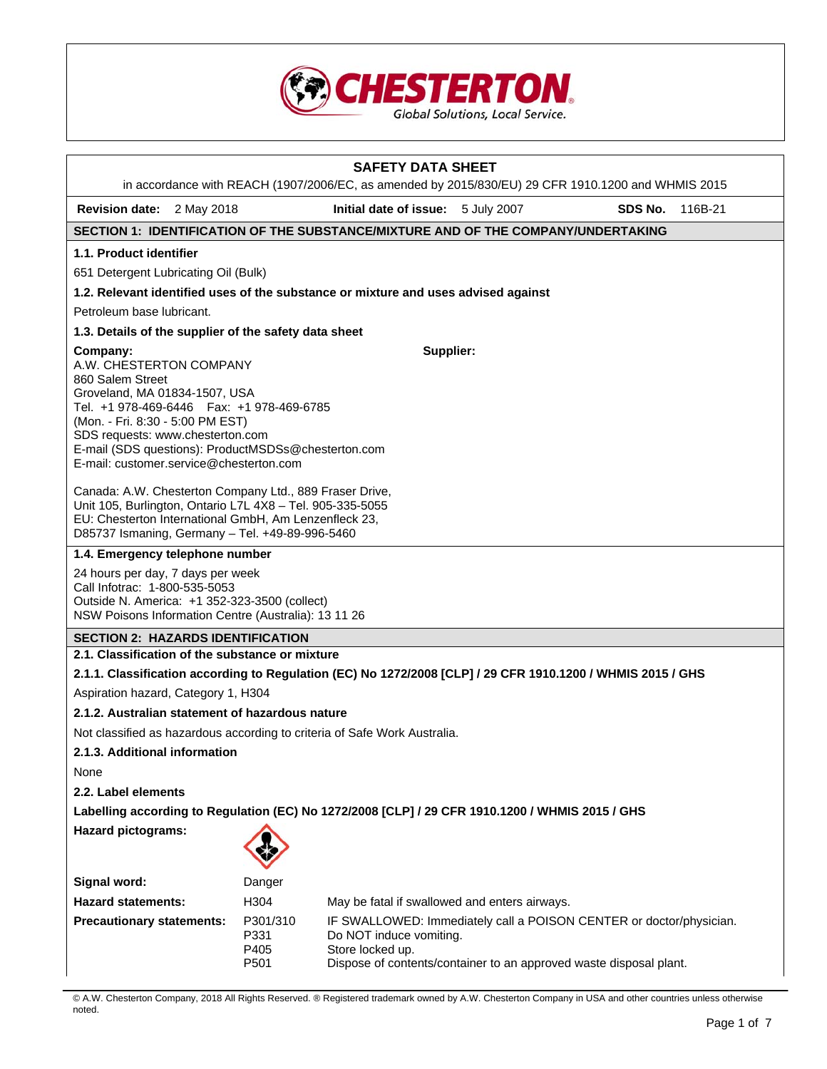

|                                                                                                                                                                                                                                                                                                                   |                                                                                                                                                                                                                                  | <b>SAFETY DATA SHEET</b><br>in accordance with REACH (1907/2006/EC, as amended by 2015/830/EU) 29 CFR 1910.1200 and WHMIS 2015                                                           |  |         |         |  |
|-------------------------------------------------------------------------------------------------------------------------------------------------------------------------------------------------------------------------------------------------------------------------------------------------------------------|----------------------------------------------------------------------------------------------------------------------------------------------------------------------------------------------------------------------------------|------------------------------------------------------------------------------------------------------------------------------------------------------------------------------------------|--|---------|---------|--|
| <b>Revision date:</b> 2 May 2018                                                                                                                                                                                                                                                                                  |                                                                                                                                                                                                                                  | Initial date of issue: 5 July 2007                                                                                                                                                       |  | SDS No. | 116B-21 |  |
| SECTION 1: IDENTIFICATION OF THE SUBSTANCE/MIXTURE AND OF THE COMPANY/UNDERTAKING                                                                                                                                                                                                                                 |                                                                                                                                                                                                                                  |                                                                                                                                                                                          |  |         |         |  |
| 1.1. Product identifier                                                                                                                                                                                                                                                                                           |                                                                                                                                                                                                                                  |                                                                                                                                                                                          |  |         |         |  |
| 651 Detergent Lubricating Oil (Bulk)                                                                                                                                                                                                                                                                              |                                                                                                                                                                                                                                  |                                                                                                                                                                                          |  |         |         |  |
| 1.2. Relevant identified uses of the substance or mixture and uses advised against                                                                                                                                                                                                                                |                                                                                                                                                                                                                                  |                                                                                                                                                                                          |  |         |         |  |
| Petroleum base lubricant.                                                                                                                                                                                                                                                                                         |                                                                                                                                                                                                                                  |                                                                                                                                                                                          |  |         |         |  |
| 1.3. Details of the supplier of the safety data sheet                                                                                                                                                                                                                                                             |                                                                                                                                                                                                                                  |                                                                                                                                                                                          |  |         |         |  |
| Company:<br>A.W. CHESTERTON COMPANY<br>860 Salem Street<br>Groveland, MA 01834-1507, USA<br>Tel. +1 978-469-6446   Fax: +1 978-469-6785<br>(Mon. - Fri. 8:30 - 5:00 PM EST)<br>SDS requests: www.chesterton.com<br>E-mail (SDS questions): ProductMSDSs@chesterton.com<br>E-mail: customer.service@chesterton.com |                                                                                                                                                                                                                                  | Supplier:                                                                                                                                                                                |  |         |         |  |
|                                                                                                                                                                                                                                                                                                                   | Canada: A.W. Chesterton Company Ltd., 889 Fraser Drive,<br>Unit 105, Burlington, Ontario L7L 4X8 - Tel. 905-335-5055<br>EU: Chesterton International GmbH, Am Lenzenfleck 23,<br>D85737 Ismaning, Germany - Tel. +49-89-996-5460 |                                                                                                                                                                                          |  |         |         |  |
| 1.4. Emergency telephone number                                                                                                                                                                                                                                                                                   |                                                                                                                                                                                                                                  |                                                                                                                                                                                          |  |         |         |  |
| 24 hours per day, 7 days per week<br>Call Infotrac: 1-800-535-5053<br>Outside N. America: +1 352-323-3500 (collect)<br>NSW Poisons Information Centre (Australia): 13 11 26                                                                                                                                       |                                                                                                                                                                                                                                  |                                                                                                                                                                                          |  |         |         |  |
| <b>SECTION 2: HAZARDS IDENTIFICATION</b>                                                                                                                                                                                                                                                                          |                                                                                                                                                                                                                                  |                                                                                                                                                                                          |  |         |         |  |
| 2.1. Classification of the substance or mixture                                                                                                                                                                                                                                                                   |                                                                                                                                                                                                                                  |                                                                                                                                                                                          |  |         |         |  |
| 2.1.1. Classification according to Regulation (EC) No 1272/2008 [CLP] / 29 CFR 1910.1200 / WHMIS 2015 / GHS                                                                                                                                                                                                       |                                                                                                                                                                                                                                  |                                                                                                                                                                                          |  |         |         |  |
| Aspiration hazard, Category 1, H304                                                                                                                                                                                                                                                                               |                                                                                                                                                                                                                                  |                                                                                                                                                                                          |  |         |         |  |
| 2.1.2. Australian statement of hazardous nature                                                                                                                                                                                                                                                                   |                                                                                                                                                                                                                                  |                                                                                                                                                                                          |  |         |         |  |
| Not classified as hazardous according to criteria of Safe Work Australia.                                                                                                                                                                                                                                         |                                                                                                                                                                                                                                  |                                                                                                                                                                                          |  |         |         |  |
| 2.1.3. Additional information                                                                                                                                                                                                                                                                                     |                                                                                                                                                                                                                                  |                                                                                                                                                                                          |  |         |         |  |
| None                                                                                                                                                                                                                                                                                                              |                                                                                                                                                                                                                                  |                                                                                                                                                                                          |  |         |         |  |
| 2.2. Label elements                                                                                                                                                                                                                                                                                               |                                                                                                                                                                                                                                  |                                                                                                                                                                                          |  |         |         |  |
| Labelling according to Regulation (EC) No 1272/2008 [CLP] / 29 CFR 1910.1200 / WHMIS 2015 / GHS                                                                                                                                                                                                                   |                                                                                                                                                                                                                                  |                                                                                                                                                                                          |  |         |         |  |
| <b>Hazard pictograms:</b>                                                                                                                                                                                                                                                                                         |                                                                                                                                                                                                                                  |                                                                                                                                                                                          |  |         |         |  |
| Signal word:                                                                                                                                                                                                                                                                                                      | Danger                                                                                                                                                                                                                           |                                                                                                                                                                                          |  |         |         |  |
| <b>Hazard statements:</b>                                                                                                                                                                                                                                                                                         | H304                                                                                                                                                                                                                             | May be fatal if swallowed and enters airways.                                                                                                                                            |  |         |         |  |
| <b>Precautionary statements:</b>                                                                                                                                                                                                                                                                                  | P301/310<br>P331<br>P405<br>P501                                                                                                                                                                                                 | IF SWALLOWED: Immediately call a POISON CENTER or doctor/physician.<br>Do NOT induce vomiting.<br>Store locked up.<br>Dispose of contents/container to an approved waste disposal plant. |  |         |         |  |

© A.W. Chesterton Company, 2018 All Rights Reserved. ® Registered trademark owned by A.W. Chesterton Company in USA and other countries unless otherwise noted.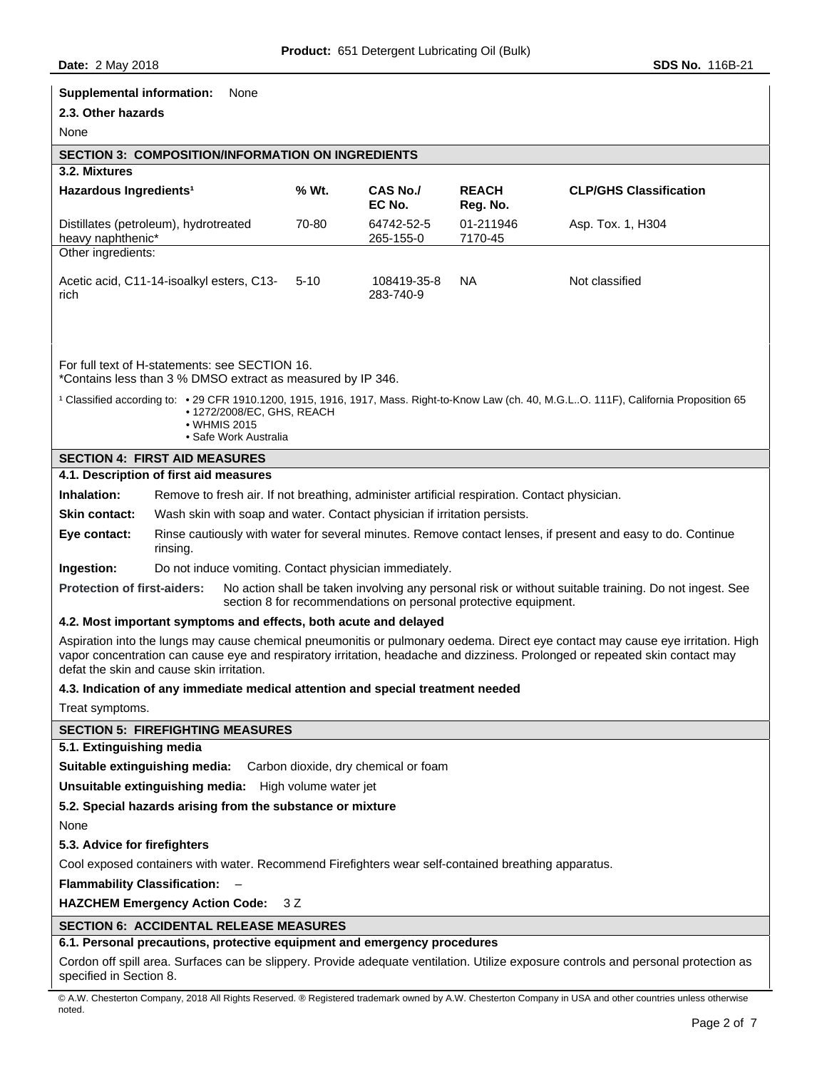| <b>Supplemental information:</b><br>None                                                                                                                                                                                                                                                                                                      |        |                           |                          |                               |
|-----------------------------------------------------------------------------------------------------------------------------------------------------------------------------------------------------------------------------------------------------------------------------------------------------------------------------------------------|--------|---------------------------|--------------------------|-------------------------------|
| 2.3. Other hazards                                                                                                                                                                                                                                                                                                                            |        |                           |                          |                               |
| None                                                                                                                                                                                                                                                                                                                                          |        |                           |                          |                               |
| <b>SECTION 3: COMPOSITION/INFORMATION ON INGREDIENTS</b>                                                                                                                                                                                                                                                                                      |        |                           |                          |                               |
| 3.2. Mixtures<br>Hazardous Ingredients <sup>1</sup>                                                                                                                                                                                                                                                                                           | % Wt.  | <b>CAS No./</b><br>EC No. | <b>REACH</b><br>Reg. No. | <b>CLP/GHS Classification</b> |
| Distillates (petroleum), hydrotreated<br>heavy naphthenic*                                                                                                                                                                                                                                                                                    | 70-80  | 64742-52-5<br>265-155-0   | 01-211946<br>7170-45     | Asp. Tox. 1, H304             |
| Other ingredients:                                                                                                                                                                                                                                                                                                                            |        |                           |                          |                               |
| Acetic acid, C11-14-isoalkyl esters, C13-<br>rich                                                                                                                                                                                                                                                                                             | $5-10$ | 108419-35-8<br>283-740-9  | <b>NA</b>                | Not classified                |
| For full text of H-statements: see SECTION 16.<br>*Contains less than 3 % DMSO extract as measured by IP 346.<br><sup>1</sup> Classified according to: • 29 CFR 1910.1200, 1915, 1916, 1917, Mass. Right-to-Know Law (ch. 40, M.G.LO. 111F), California Proposition 65<br>• 1272/2008/EC, GHS, REACH<br>• WHMIS 2015<br>• Safe Work Australia |        |                           |                          |                               |
| <b>SECTION 4: FIRST AID MEASURES</b>                                                                                                                                                                                                                                                                                                          |        |                           |                          |                               |
| 4.1. Description of first aid measures                                                                                                                                                                                                                                                                                                        |        |                           |                          |                               |
| Inhalation:<br>Remove to fresh air. If not breathing, administer artificial respiration. Contact physician.                                                                                                                                                                                                                                   |        |                           |                          |                               |
| Wash skin with soap and water. Contact physician if irritation persists.<br><b>Skin contact:</b>                                                                                                                                                                                                                                              |        |                           |                          |                               |
| Rinse cautiously with water for several minutes. Remove contact lenses, if present and easy to do. Continue<br>Eye contact:<br>rinsing.                                                                                                                                                                                                       |        |                           |                          |                               |
| Ingestion:<br>Do not induce vomiting. Contact physician immediately.                                                                                                                                                                                                                                                                          |        |                           |                          |                               |
| No action shall be taken involving any personal risk or without suitable training. Do not ingest. See<br><b>Protection of first-aiders:</b><br>section 8 for recommendations on personal protective equipment.                                                                                                                                |        |                           |                          |                               |
| 4.2. Most important symptoms and effects, both acute and delayed                                                                                                                                                                                                                                                                              |        |                           |                          |                               |
| Aspiration into the lungs may cause chemical pneumonitis or pulmonary oedema. Direct eye contact may cause eye irritation. High<br>vapor concentration can cause eye and respiratory irritation, headache and dizziness. Prolonged or repeated skin contact may<br>defat the skin and cause skin irritation.                                  |        |                           |                          |                               |
| 4.3. Indication of any immediate medical attention and special treatment needed                                                                                                                                                                                                                                                               |        |                           |                          |                               |
| Treat symptoms.                                                                                                                                                                                                                                                                                                                               |        |                           |                          |                               |
| <b>SECTION 5: FIREFIGHTING MEASURES</b>                                                                                                                                                                                                                                                                                                       |        |                           |                          |                               |
| 5.1. Extinguishing media                                                                                                                                                                                                                                                                                                                      |        |                           |                          |                               |
| Suitable extinguishing media: Carbon dioxide, dry chemical or foam                                                                                                                                                                                                                                                                            |        |                           |                          |                               |
| Unsuitable extinguishing media: High volume water jet                                                                                                                                                                                                                                                                                         |        |                           |                          |                               |
| 5.2. Special hazards arising from the substance or mixture                                                                                                                                                                                                                                                                                    |        |                           |                          |                               |
| None                                                                                                                                                                                                                                                                                                                                          |        |                           |                          |                               |
| 5.3. Advice for firefighters                                                                                                                                                                                                                                                                                                                  |        |                           |                          |                               |
| Cool exposed containers with water. Recommend Firefighters wear self-contained breathing apparatus.                                                                                                                                                                                                                                           |        |                           |                          |                               |
| <b>Flammability Classification:</b>                                                                                                                                                                                                                                                                                                           |        |                           |                          |                               |
| <b>HAZCHEM Emergency Action Code:</b><br>3 Z                                                                                                                                                                                                                                                                                                  |        |                           |                          |                               |
| <b>SECTION 6: ACCIDENTAL RELEASE MEASURES</b>                                                                                                                                                                                                                                                                                                 |        |                           |                          |                               |
| 6.1. Personal precautions, protective equipment and emergency procedures                                                                                                                                                                                                                                                                      |        |                           |                          |                               |
| Cordon off spill area. Surfaces can be slippery. Provide adequate ventilation. Utilize exposure controls and personal protection as<br>specified in Section 8.                                                                                                                                                                                |        |                           |                          |                               |

<sup>©</sup> A.W. Chesterton Company, 2018 All Rights Reserved. ® Registered trademark owned by A.W. Chesterton Company in USA and other countries unless otherwise noted.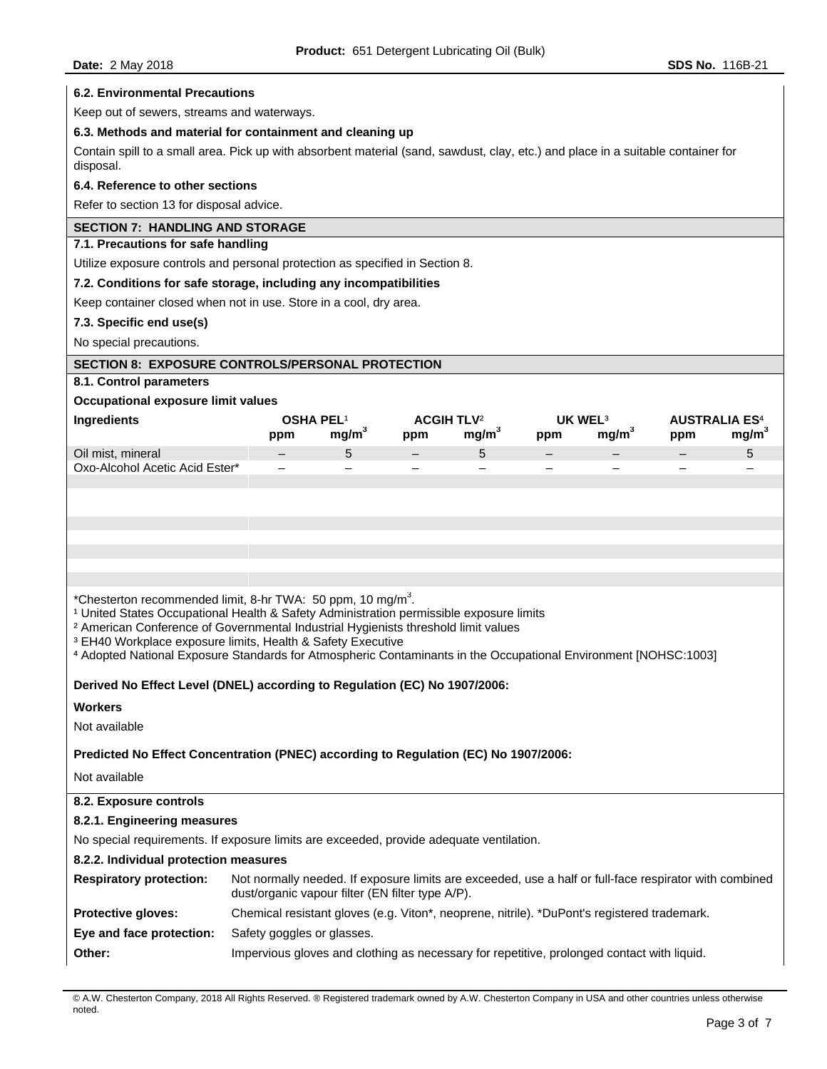| <b>Date: 2 May 2018</b>                                                                                                                                                                                                                                                                                                                                                                                                                                                     |                                                                                                                                                            |                   |     |                                                   |                       |                   | <b>SDS No. 116B-21</b>      |                   |
|-----------------------------------------------------------------------------------------------------------------------------------------------------------------------------------------------------------------------------------------------------------------------------------------------------------------------------------------------------------------------------------------------------------------------------------------------------------------------------|------------------------------------------------------------------------------------------------------------------------------------------------------------|-------------------|-----|---------------------------------------------------|-----------------------|-------------------|-----------------------------|-------------------|
| <b>6.2. Environmental Precautions</b>                                                                                                                                                                                                                                                                                                                                                                                                                                       |                                                                                                                                                            |                   |     |                                                   |                       |                   |                             |                   |
| Keep out of sewers, streams and waterways.                                                                                                                                                                                                                                                                                                                                                                                                                                  |                                                                                                                                                            |                   |     |                                                   |                       |                   |                             |                   |
| 6.3. Methods and material for containment and cleaning up                                                                                                                                                                                                                                                                                                                                                                                                                   |                                                                                                                                                            |                   |     |                                                   |                       |                   |                             |                   |
| Contain spill to a small area. Pick up with absorbent material (sand, sawdust, clay, etc.) and place in a suitable container for<br>disposal.                                                                                                                                                                                                                                                                                                                               |                                                                                                                                                            |                   |     |                                                   |                       |                   |                             |                   |
| 6.4. Reference to other sections                                                                                                                                                                                                                                                                                                                                                                                                                                            |                                                                                                                                                            |                   |     |                                                   |                       |                   |                             |                   |
| Refer to section 13 for disposal advice.                                                                                                                                                                                                                                                                                                                                                                                                                                    |                                                                                                                                                            |                   |     |                                                   |                       |                   |                             |                   |
| <b>SECTION 7: HANDLING AND STORAGE</b>                                                                                                                                                                                                                                                                                                                                                                                                                                      |                                                                                                                                                            |                   |     |                                                   |                       |                   |                             |                   |
| 7.1. Precautions for safe handling                                                                                                                                                                                                                                                                                                                                                                                                                                          |                                                                                                                                                            |                   |     |                                                   |                       |                   |                             |                   |
| Utilize exposure controls and personal protection as specified in Section 8.                                                                                                                                                                                                                                                                                                                                                                                                |                                                                                                                                                            |                   |     |                                                   |                       |                   |                             |                   |
| 7.2. Conditions for safe storage, including any incompatibilities                                                                                                                                                                                                                                                                                                                                                                                                           |                                                                                                                                                            |                   |     |                                                   |                       |                   |                             |                   |
| Keep container closed when not in use. Store in a cool, dry area.                                                                                                                                                                                                                                                                                                                                                                                                           |                                                                                                                                                            |                   |     |                                                   |                       |                   |                             |                   |
| 7.3. Specific end use(s)                                                                                                                                                                                                                                                                                                                                                                                                                                                    |                                                                                                                                                            |                   |     |                                                   |                       |                   |                             |                   |
| No special precautions.                                                                                                                                                                                                                                                                                                                                                                                                                                                     |                                                                                                                                                            |                   |     |                                                   |                       |                   |                             |                   |
| <b>SECTION 8: EXPOSURE CONTROLS/PERSONAL PROTECTION</b>                                                                                                                                                                                                                                                                                                                                                                                                                     |                                                                                                                                                            |                   |     |                                                   |                       |                   |                             |                   |
| 8.1. Control parameters                                                                                                                                                                                                                                                                                                                                                                                                                                                     |                                                                                                                                                            |                   |     |                                                   |                       |                   |                             |                   |
| <b>Occupational exposure limit values</b>                                                                                                                                                                                                                                                                                                                                                                                                                                   |                                                                                                                                                            |                   |     |                                                   |                       |                   |                             |                   |
| Ingredients                                                                                                                                                                                                                                                                                                                                                                                                                                                                 | <b>OSHA PEL1</b><br>ppm                                                                                                                                    | mg/m <sup>3</sup> | ppm | <b>ACGIH TLV<sup>2</sup></b><br>mg/m <sup>3</sup> | <b>UK WEL3</b><br>ppm | mg/m <sup>3</sup> | <b>AUSTRALIA ES4</b><br>ppm | mg/m <sup>3</sup> |
| Oil mist, mineral                                                                                                                                                                                                                                                                                                                                                                                                                                                           |                                                                                                                                                            | 5                 |     | 5                                                 |                       |                   |                             | 5                 |
| Oxo-Alcohol Acetic Acid Ester*                                                                                                                                                                                                                                                                                                                                                                                                                                              |                                                                                                                                                            |                   |     |                                                   |                       |                   |                             |                   |
|                                                                                                                                                                                                                                                                                                                                                                                                                                                                             |                                                                                                                                                            |                   |     |                                                   |                       |                   |                             |                   |
|                                                                                                                                                                                                                                                                                                                                                                                                                                                                             |                                                                                                                                                            |                   |     |                                                   |                       |                   |                             |                   |
|                                                                                                                                                                                                                                                                                                                                                                                                                                                                             |                                                                                                                                                            |                   |     |                                                   |                       |                   |                             |                   |
| *Chesterton recommended limit, 8-hr TWA: 50 ppm, 10 mg/m <sup>3</sup> .<br><sup>1</sup> United States Occupational Health & Safety Administration permissible exposure limits<br><sup>2</sup> American Conference of Governmental Industrial Hygienists threshold limit values<br><sup>3</sup> EH40 Workplace exposure limits, Health & Safety Executive<br>4 Adopted National Exposure Standards for Atmospheric Contaminants in the Occupational Environment [NOHSC:1003] |                                                                                                                                                            |                   |     |                                                   |                       |                   |                             |                   |
| Derived No Effect Level (DNEL) according to Regulation (EC) No 1907/2006:                                                                                                                                                                                                                                                                                                                                                                                                   |                                                                                                                                                            |                   |     |                                                   |                       |                   |                             |                   |
| <b>Workers</b>                                                                                                                                                                                                                                                                                                                                                                                                                                                              |                                                                                                                                                            |                   |     |                                                   |                       |                   |                             |                   |
| Not available                                                                                                                                                                                                                                                                                                                                                                                                                                                               |                                                                                                                                                            |                   |     |                                                   |                       |                   |                             |                   |
| Predicted No Effect Concentration (PNEC) according to Regulation (EC) No 1907/2006:                                                                                                                                                                                                                                                                                                                                                                                         |                                                                                                                                                            |                   |     |                                                   |                       |                   |                             |                   |
| Not available                                                                                                                                                                                                                                                                                                                                                                                                                                                               |                                                                                                                                                            |                   |     |                                                   |                       |                   |                             |                   |
| 8.2. Exposure controls                                                                                                                                                                                                                                                                                                                                                                                                                                                      |                                                                                                                                                            |                   |     |                                                   |                       |                   |                             |                   |
| 8.2.1. Engineering measures                                                                                                                                                                                                                                                                                                                                                                                                                                                 |                                                                                                                                                            |                   |     |                                                   |                       |                   |                             |                   |
| No special requirements. If exposure limits are exceeded, provide adequate ventilation.                                                                                                                                                                                                                                                                                                                                                                                     |                                                                                                                                                            |                   |     |                                                   |                       |                   |                             |                   |
| 8.2.2. Individual protection measures                                                                                                                                                                                                                                                                                                                                                                                                                                       |                                                                                                                                                            |                   |     |                                                   |                       |                   |                             |                   |
| <b>Respiratory protection:</b>                                                                                                                                                                                                                                                                                                                                                                                                                                              | Not normally needed. If exposure limits are exceeded, use a half or full-face respirator with combined<br>dust/organic vapour filter (EN filter type A/P). |                   |     |                                                   |                       |                   |                             |                   |
| Protective gloves:                                                                                                                                                                                                                                                                                                                                                                                                                                                          | Chemical resistant gloves (e.g. Viton*, neoprene, nitrile). *DuPont's registered trademark.                                                                |                   |     |                                                   |                       |                   |                             |                   |
| Eye and face protection:                                                                                                                                                                                                                                                                                                                                                                                                                                                    | Safety goggles or glasses.                                                                                                                                 |                   |     |                                                   |                       |                   |                             |                   |
| Other:                                                                                                                                                                                                                                                                                                                                                                                                                                                                      | Impervious gloves and clothing as necessary for repetitive, prolonged contact with liquid.                                                                 |                   |     |                                                   |                       |                   |                             |                   |
|                                                                                                                                                                                                                                                                                                                                                                                                                                                                             |                                                                                                                                                            |                   |     |                                                   |                       |                   |                             |                   |

© A.W. Chesterton Company, 2018 All Rights Reserved. ® Registered trademark owned by A.W. Chesterton Company in USA and other countries unless otherwise noted.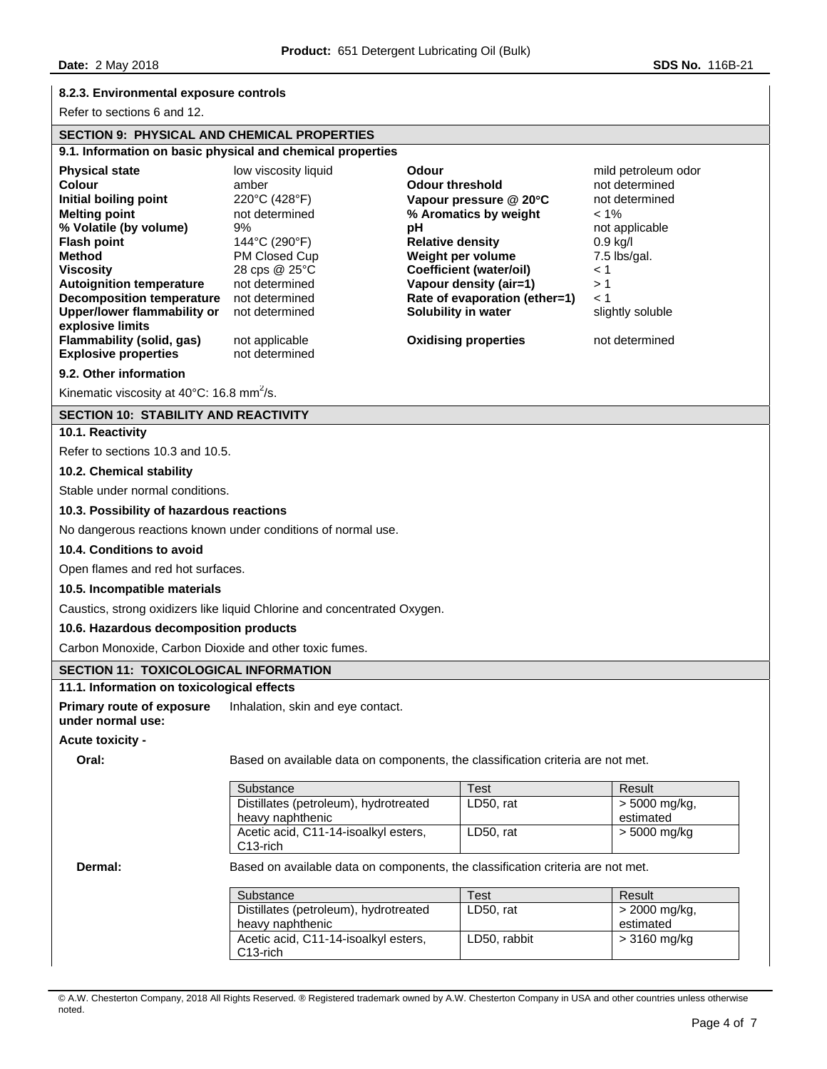## **8.2.3. Environmental exposure controls**

Refer to sections 6 and 12.

## **SECTION 9: PHYSICAL AND CHEMICAL PROPERTIES**

| 9.1. Information on basic physical and chemical properties |                      |                                |                     |  |
|------------------------------------------------------------|----------------------|--------------------------------|---------------------|--|
| <b>Physical state</b>                                      | low viscosity liquid | Odour                          | mild petroleum odor |  |
| Colour                                                     | amber                | <b>Odour threshold</b>         | not determined      |  |
| Initial boiling point                                      | 220°C (428°F)        | Vapour pressure $@$ 20 $°C$    | not determined      |  |
| <b>Melting point</b>                                       | not determined       | % Aromatics by weight          | $< 1\%$             |  |
| % Volatile (by volume)                                     | 9%                   | рH                             | not applicable      |  |
| <b>Flash point</b>                                         | 144°C (290°F)        | <b>Relative density</b>        | $0.9$ kg/l          |  |
| Method                                                     | PM Closed Cup        | Weight per volume              | 7.5 lbs/gal.        |  |
| <b>Viscosity</b>                                           | 28 cps @ 25°C        | <b>Coefficient (water/oil)</b> | $\leq 1$            |  |
| <b>Autoignition temperature</b>                            | not determined       | Vapour density (air=1)         | >1                  |  |
| Decomposition temperature                                  | not determined       | Rate of evaporation (ether=1)  | $\leq 1$            |  |
| Upper/lower flammability or<br>explosive limits            | not determined       | Solubility in water            | slightly soluble    |  |
| Flammability (solid, gas)                                  | not applicable       | <b>Oxidising properties</b>    | not determined      |  |
| <b>Explosive properties</b>                                | not determined       |                                |                     |  |

### **9.2. Other information**

Kinematic viscosity at  $40^{\circ}$ C: 16.8 mm<sup>2</sup>/s.

## **SECTION 10: STABILITY AND REACTIVITY**

## **10.1. Reactivity**

Refer to sections 10.3 and 10.5.

## **10.2. Chemical stability**

Stable under normal conditions.

## **10.3. Possibility of hazardous reactions**

No dangerous reactions known under conditions of normal use.

## **10.4. Conditions to avoid**

Open flames and red hot surfaces.

## **10.5. Incompatible materials**

Caustics, strong oxidizers like liquid Chlorine and concentrated Oxygen.

## **10.6. Hazardous decomposition products**

Carbon Monoxide, Carbon Dioxide and other toxic fumes.

# **SECTION 11: TOXICOLOGICAL INFORMATION**

# **11.1. Information on toxicological effects**

**Primary route of exposure**  Inhalation, skin and eye contact.

# **under normal use:**

## **Acute toxicity -**

**Oral:** Based on available data on components, the classification criteria are not met.

| Substance                             | Test      | Result        |
|---------------------------------------|-----------|---------------|
| Distillates (petroleum), hydrotreated | LD50. rat | > 5000 mg/kg, |
| heavy naphthenic                      |           | estimated     |
| Acetic acid, C11-14-isoalkyl esters,  | LD50. rat | > 5000 mg/kg  |
| $C13$ -rich                           |           |               |

**Dermal:** Based on available data on components, the classification criteria are not met.

| Substance                             | Test         | Result        |
|---------------------------------------|--------------|---------------|
| Distillates (petroleum), hydrotreated | LD50. rat    | > 2000 mg/kg, |
| heavy naphthenic                      |              | estimated     |
| Acetic acid, C11-14-isoalkyl esters,  | LD50, rabbit | > 3160 mg/kg  |
| $C13$ -rich                           |              |               |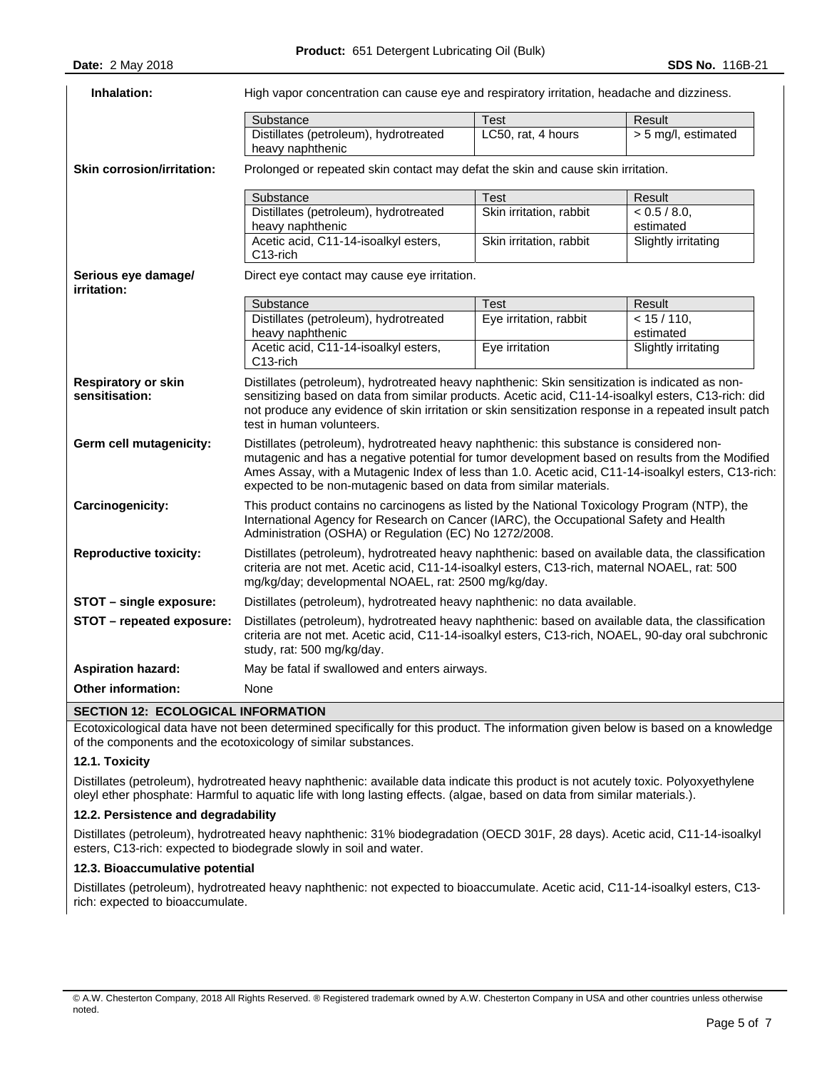| Inhalation:                                  | High vapor concentration can cause eye and respiratory irritation, headache and dizziness.                                                                                                                                                                                                                                                                                |                         |                             |  |
|----------------------------------------------|---------------------------------------------------------------------------------------------------------------------------------------------------------------------------------------------------------------------------------------------------------------------------------------------------------------------------------------------------------------------------|-------------------------|-----------------------------|--|
|                                              | Substance                                                                                                                                                                                                                                                                                                                                                                 | <b>Test</b>             | Result                      |  |
|                                              | Distillates (petroleum), hydrotreated<br>heavy naphthenic                                                                                                                                                                                                                                                                                                                 | LC50, rat, 4 hours      | > 5 mg/l, estimated         |  |
| <b>Skin corrosion/irritation:</b>            | Prolonged or repeated skin contact may defat the skin and cause skin irritation.                                                                                                                                                                                                                                                                                          |                         |                             |  |
|                                              | Substance                                                                                                                                                                                                                                                                                                                                                                 | <b>Test</b>             | Result                      |  |
|                                              | Distillates (petroleum), hydrotreated<br>heavy naphthenic                                                                                                                                                                                                                                                                                                                 | Skin irritation, rabbit | < 0.5 / 8.0,<br>estimated   |  |
|                                              | Acetic acid, C11-14-isoalkyl esters,<br>C13-rich                                                                                                                                                                                                                                                                                                                          | Skin irritation, rabbit | Slightly irritating         |  |
| Serious eye damage/<br>irritation:           | Direct eye contact may cause eye irritation.                                                                                                                                                                                                                                                                                                                              |                         |                             |  |
|                                              | Substance                                                                                                                                                                                                                                                                                                                                                                 | Test                    | Result                      |  |
|                                              | Distillates (petroleum), hydrotreated<br>heavy naphthenic                                                                                                                                                                                                                                                                                                                 | Eye irritation, rabbit  | $< 15 / 110$ ,<br>estimated |  |
|                                              | Acetic acid, C11-14-isoalkyl esters,<br>C13-rich                                                                                                                                                                                                                                                                                                                          | Eye irritation          | Slightly irritating         |  |
| <b>Respiratory or skin</b><br>sensitisation: | Distillates (petroleum), hydrotreated heavy naphthenic: Skin sensitization is indicated as non-<br>sensitizing based on data from similar products. Acetic acid, C11-14-isoalkyl esters, C13-rich: did<br>not produce any evidence of skin irritation or skin sensitization response in a repeated insult patch<br>test in human volunteers.                              |                         |                             |  |
| Germ cell mutagenicity:                      | Distillates (petroleum), hydrotreated heavy naphthenic: this substance is considered non-<br>mutagenic and has a negative potential for tumor development based on results from the Modified<br>Ames Assay, with a Mutagenic Index of less than 1.0. Acetic acid, C11-14-isoalkyl esters, C13-rich:<br>expected to be non-mutagenic based on data from similar materials. |                         |                             |  |
| Carcinogenicity:                             | This product contains no carcinogens as listed by the National Toxicology Program (NTP), the<br>International Agency for Research on Cancer (IARC), the Occupational Safety and Health<br>Administration (OSHA) or Regulation (EC) No 1272/2008.                                                                                                                          |                         |                             |  |
| <b>Reproductive toxicity:</b>                | Distillates (petroleum), hydrotreated heavy naphthenic: based on available data, the classification<br>criteria are not met. Acetic acid, C11-14-isoalkyl esters, C13-rich, maternal NOAEL, rat: 500<br>mg/kg/day; developmental NOAEL, rat: 2500 mg/kg/day.                                                                                                              |                         |                             |  |
| STOT - single exposure:                      | Distillates (petroleum), hydrotreated heavy naphthenic: no data available.                                                                                                                                                                                                                                                                                                |                         |                             |  |
| STOT - repeated exposure:                    | Distillates (petroleum), hydrotreated heavy naphthenic: based on available data, the classification<br>criteria are not met. Acetic acid, C11-14-isoalkyl esters, C13-rich, NOAEL, 90-day oral subchronic<br>study, rat: 500 mg/kg/day.                                                                                                                                   |                         |                             |  |
| <b>Aspiration hazard:</b>                    | May be fatal if swallowed and enters airways.                                                                                                                                                                                                                                                                                                                             |                         |                             |  |
| <b>Other information:</b>                    | None                                                                                                                                                                                                                                                                                                                                                                      |                         |                             |  |
| <b>SECTION 12: ECOLOGICAL INFORMATION</b>    |                                                                                                                                                                                                                                                                                                                                                                           |                         |                             |  |

Ecotoxicological data have not been determined specifically for this product. The information given below is based on a knowledge of the components and the ecotoxicology of similar substances.

## **12.1. Toxicity**

Distillates (petroleum), hydrotreated heavy naphthenic: available data indicate this product is not acutely toxic. Polyoxyethylene oleyl ether phosphate: Harmful to aquatic life with long lasting effects. (algae, based on data from similar materials.).

## **12.2. Persistence and degradability**

Distillates (petroleum), hydrotreated heavy naphthenic: 31% biodegradation (OECD 301F, 28 days). Acetic acid, C11-14-isoalkyl esters, C13-rich: expected to biodegrade slowly in soil and water.

## **12.3. Bioaccumulative potential**

Distillates (petroleum), hydrotreated heavy naphthenic: not expected to bioaccumulate. Acetic acid, C11-14-isoalkyl esters, C13 rich: expected to bioaccumulate.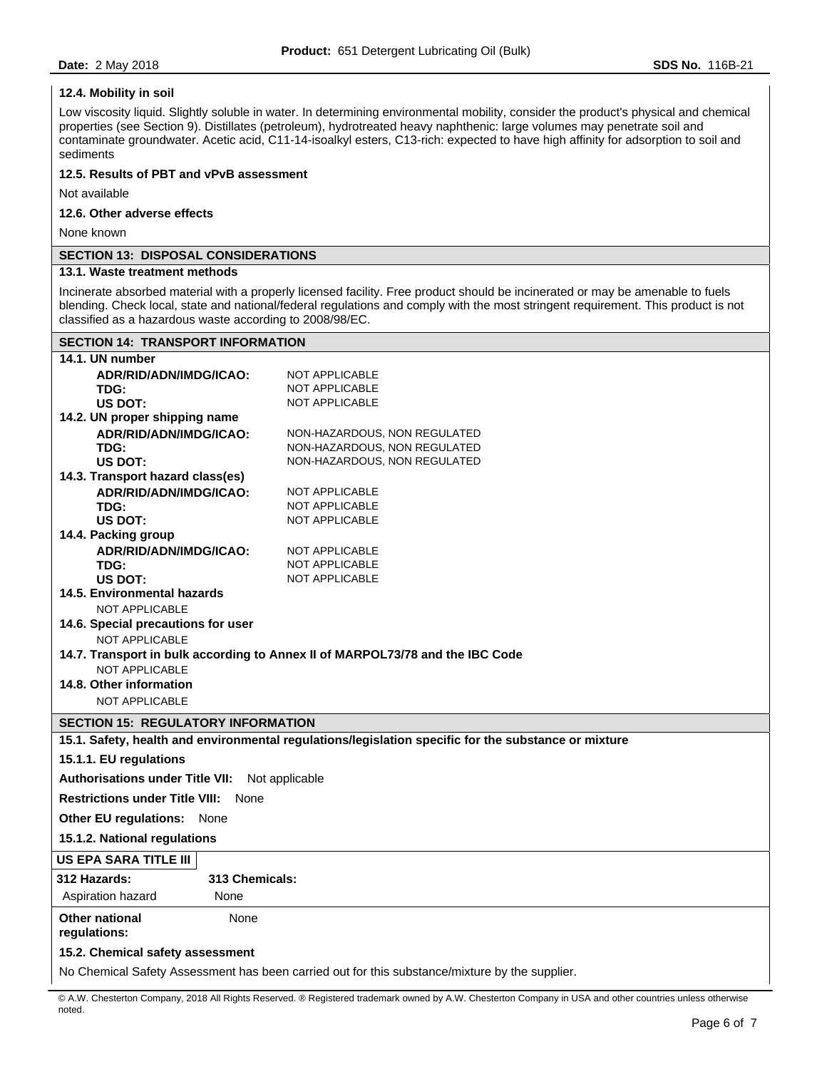## **12.4. Mobility in soil**

Low viscosity liquid. Slightly soluble in water. In determining environmental mobility, consider the product's physical and chemical properties (see Section 9). Distillates (petroleum), hydrotreated heavy naphthenic: large volumes may penetrate soil and contaminate groundwater. Acetic acid, C11-14-isoalkyl esters, C13-rich: expected to have high affinity for adsorption to soil and sediments

## **12.5. Results of PBT and vPvB assessment**

Not available

## **12.6. Other adverse effects**

None known

## **SECTION 13: DISPOSAL CONSIDERATIONS**

## **13.1. Waste treatment methods**

Incinerate absorbed material with a properly licensed facility. Free product should be incinerated or may be amenable to fuels blending. Check local, state and national/federal regulations and comply with the most stringent requirement. This product is not classified as a hazardous waste according to 2008/98/EC.

| <b>SECTION 14: TRANSPORT INFORMATION</b>                                                       |                                                                                                      |  |  |  |  |
|------------------------------------------------------------------------------------------------|------------------------------------------------------------------------------------------------------|--|--|--|--|
| 14.1. UN number                                                                                |                                                                                                      |  |  |  |  |
| ADR/RID/ADN/IMDG/ICAO:                                                                         | NOT APPLICABLE                                                                                       |  |  |  |  |
| TDG:                                                                                           | <b>NOT APPLICABLE</b>                                                                                |  |  |  |  |
| US DOT:                                                                                        | NOT APPLICABLE                                                                                       |  |  |  |  |
| 14.2. UN proper shipping name                                                                  |                                                                                                      |  |  |  |  |
| ADR/RID/ADN/IMDG/ICAO:                                                                         | NON-HAZARDOUS, NON REGULATED                                                                         |  |  |  |  |
| TDG:                                                                                           | NON-HAZARDOUS, NON REGULATED                                                                         |  |  |  |  |
| US DOT:                                                                                        | NON-HAZARDOUS, NON REGULATED                                                                         |  |  |  |  |
| 14.3. Transport hazard class(es)                                                               |                                                                                                      |  |  |  |  |
| ADR/RID/ADN/IMDG/ICAO:                                                                         | NOT APPLICABLE                                                                                       |  |  |  |  |
| TDG:                                                                                           | NOT APPLICABLE                                                                                       |  |  |  |  |
| US DOT:                                                                                        | NOT APPLICABLE                                                                                       |  |  |  |  |
| 14.4. Packing group                                                                            |                                                                                                      |  |  |  |  |
| ADR/RID/ADN/IMDG/ICAO:                                                                         | NOT APPLICABLE                                                                                       |  |  |  |  |
| TDG:                                                                                           | NOT APPLICABLE                                                                                       |  |  |  |  |
| US DOT:                                                                                        | NOT APPLICABLE                                                                                       |  |  |  |  |
| 14.5. Environmental hazards                                                                    |                                                                                                      |  |  |  |  |
| <b>NOT APPLICABLE</b>                                                                          |                                                                                                      |  |  |  |  |
| 14.6. Special precautions for user                                                             |                                                                                                      |  |  |  |  |
| <b>NOT APPLICABLE</b>                                                                          |                                                                                                      |  |  |  |  |
| 14.7. Transport in bulk according to Annex II of MARPOL73/78 and the IBC Code                  |                                                                                                      |  |  |  |  |
| NOT APPLICABLE<br>14.8. Other information                                                      |                                                                                                      |  |  |  |  |
|                                                                                                |                                                                                                      |  |  |  |  |
| <b>NOT APPLICABLE</b>                                                                          |                                                                                                      |  |  |  |  |
| <b>SECTION 15: REGULATORY INFORMATION</b>                                                      |                                                                                                      |  |  |  |  |
|                                                                                                | 15.1. Safety, health and environmental regulations/legislation specific for the substance or mixture |  |  |  |  |
| 15.1.1. EU regulations                                                                         |                                                                                                      |  |  |  |  |
| <b>Authorisations under Title VII:</b>                                                         | Not applicable                                                                                       |  |  |  |  |
| <b>Restrictions under Title VIII: None</b>                                                     |                                                                                                      |  |  |  |  |
| Other EU regulations: None                                                                     |                                                                                                      |  |  |  |  |
| 15.1.2. National regulations                                                                   |                                                                                                      |  |  |  |  |
| US EPA SARA TITLE III                                                                          |                                                                                                      |  |  |  |  |
| 313 Chemicals:<br><b>312 Hazards:</b>                                                          |                                                                                                      |  |  |  |  |
| Aspiration hazard<br>None                                                                      |                                                                                                      |  |  |  |  |
| <b>Other national</b><br>None<br>regulations:                                                  |                                                                                                      |  |  |  |  |
| 15.2. Chemical safety assessment                                                               |                                                                                                      |  |  |  |  |
| No Chemical Safety Assessment has been carried out for this substance/mixture by the supplier. |                                                                                                      |  |  |  |  |
|                                                                                                |                                                                                                      |  |  |  |  |

© A.W. Chesterton Company, 2018 All Rights Reserved. ® Registered trademark owned by A.W. Chesterton Company in USA and other countries unless otherwise noted.